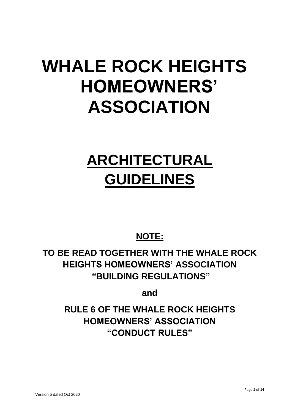# **WHALE ROCK HEIGHTS HOMEOWNERS' ASSOCIATION**

# **ARCHITECTURAL GUIDELINES**

# **NOTE:**

**TO BE READ TOGETHER WITH THE WHALE ROCK HEIGHTS HOMEOWNERS' ASSOCIATION "BUILDING REGULATIONS"**

**and**

**RULE 6 OF THE WHALE ROCK HEIGHTS HOMEOWNERS' ASSOCIATION "CONDUCT RULES"**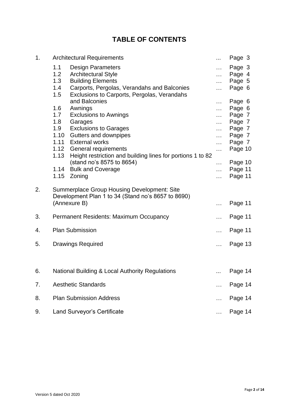# **TABLE OF CONTENTS**

| 1. | <b>Architectural Requirements</b>                                                                                                                                                                                   |                             | Page 3                               |
|----|---------------------------------------------------------------------------------------------------------------------------------------------------------------------------------------------------------------------|-----------------------------|--------------------------------------|
|    | 1.1<br><b>Design Parameters</b><br>1.2<br><b>Architectural Style</b><br>1.3<br><b>Building Elements</b><br>1.4<br>Carports, Pergolas, Verandahs and Balconies<br>1.5<br>Exclusions to Carports, Pergolas, Verandahs | .<br>.<br>.<br>$\ldots$     | Page 3<br>Page 4<br>Page 5<br>Page 6 |
|    | and Balconies<br>1.6<br>Awnings                                                                                                                                                                                     | $\cdots$<br>$\ddotsc$       | Page 6<br>Page 6                     |
|    | 1.7<br><b>Exclusions to Awnings</b><br>1.8<br>Garages                                                                                                                                                               | $\cdots$<br>.               | Page 7<br>Page 7                     |
|    | 1.9<br><b>Exclusions to Garages</b><br>1.10<br>Gutters and downpipes                                                                                                                                                | .<br>$\cdots$               | Page 7<br>Page 7                     |
|    | 1.11<br><b>External works</b><br>1.12 General requirements<br>1.13<br>Height restriction and building lines for portions 1 to 82                                                                                    | $\ldots$<br>.               | Page 7<br>Page 10                    |
|    | (stand no's 8575 to 8654)<br>1.14<br><b>Bulk and Coverage</b><br>1.15<br>Zoning                                                                                                                                     | .<br>$\ddotsc$<br>$\ddotsc$ | Page 10<br>Page 11<br>Page 11        |
| 2. | <b>Summerplace Group Housing Development: Site</b><br>Development Plan 1 to 34 (Stand no's 8657 to 8690)                                                                                                            |                             |                                      |
|    | (Annexure B)                                                                                                                                                                                                        | $\cdots$                    | Page 11                              |
| 3. | <b>Permanent Residents: Maximum Occupancy</b>                                                                                                                                                                       | $\ddotsc$                   | Page 11                              |
| 4. | <b>Plan Submission</b>                                                                                                                                                                                              | .                           | Page 11                              |
| 5. | <b>Drawings Required</b>                                                                                                                                                                                            | .                           | Page 13                              |
| 6. | National Building & Local Authority Regulations                                                                                                                                                                     |                             | Page 14                              |
| 7. | <b>Aesthetic Standards</b>                                                                                                                                                                                          |                             | Page 14                              |
| 8. | <b>Plan Submission Address</b>                                                                                                                                                                                      |                             | Page 14                              |
| 9. | <b>Land Surveyor's Certificate</b>                                                                                                                                                                                  |                             | Page 14                              |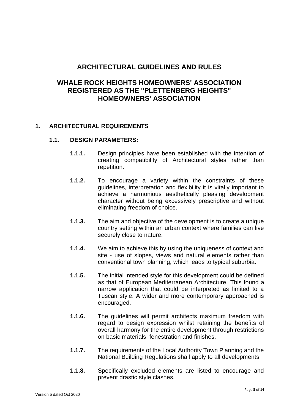# **ARCHITECTURAL GUIDELINES AND RULES**

# **WHALE ROCK HEIGHTS HOMEOWNERS' ASSOCIATION REGISTERED AS THE "PLETTENBERG HEIGHTS" HOMEOWNERS' ASSOCIATION**

# **1. ARCHITECTURAL REQUIREMENTS**

#### **1.1. DESIGN PARAMETERS:**

- **1.1.1.** Design principles have been established with the intention of creating compatibility of Architectural styles rather than repetition.
- **1.1.2.** To encourage a variety within the constraints of these guidelines, interpretation and flexibility it is vitally important to achieve a harmonious aesthetically pleasing development character without being excessively prescriptive and without eliminating freedom of choice.
- **1.1.3.** The aim and objective of the development is to create a unique country setting within an urban context where families can live securely close to nature.
- **1.1.4.** We aim to achieve this by using the uniqueness of context and site - use of slopes, views and natural elements rather than conventional town planning, which leads to typical suburbia.
- **1.1.5.** The initial intended style for this development could be defined as that of European Mediterranean Architecture. This found a narrow application that could be interpreted as limited to a Tuscan style. A wider and more contemporary approached is encouraged.
- **1.1.6.** The guidelines will permit architects maximum freedom with regard to design expression whilst retaining the benefits of overall harmony for the entire development through restrictions on basic materials, fenestration and finishes.
- **1.1.7.** The requirements of the Local Authority Town Planning and the National Building Regulations shall apply to all developments
- **1.1.8.** Specifically excluded elements are listed to encourage and prevent drastic style clashes.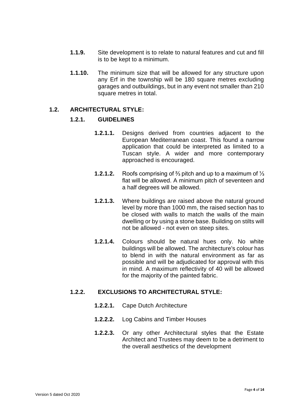- **1.1.9.** Site development is to relate to natural features and cut and fill is to be kept to a minimum.
- **1.1.10.** The minimum size that will be allowed for any structure upon any Erf in the township will be 180 square metres excluding garages and outbuildings, but in any event not smaller than 210 square metres in total.

#### **1.2. ARCHITECTURAL STYLE:**

#### **1.2.1. GUIDELINES**

- **1.2.1.1.** Designs derived from countries adjacent to the European Mediterranean coast. This found a narrow application that could be interpreted as limited to a Tuscan style. A wider and more contemporary approached is encouraged.
- **1.2.1.2.** Roofs comprising of ⅔ pitch and up to a maximum of ⅓ flat will be allowed. A minimum pitch of seventeen and a half degrees will be allowed.
- **1.2.1.3.** Where buildings are raised above the natural ground level by more than 1000 mm, the raised section has to be closed with walls to match the walls of the main dwelling or by using a stone base. Building on stilts will not be allowed - not even on steep sites.
- **1.2.1.4.** Colours should be natural hues only. No white buildings will be allowed. The architecture's colour has to blend in with the natural environment as far as possible and will be adjudicated for approval with this in mind. A maximum reflectivity of 40 will be allowed for the majority of the painted fabric.

# **1.2.2. EXCLUSIONS TO ARCHITECTURAL STYLE:**

- **1.2.2.1.** Cape Dutch Architecture
- **1.2.2.2.** Log Cabins and Timber Houses
- **1.2.2.3.** Or any other Architectural styles that the Estate Architect and Trustees may deem to be a detriment to the overall aesthetics of the development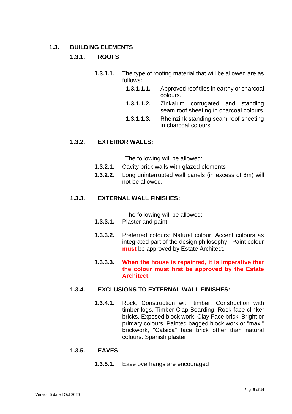### **1.3. BUILDING ELEMENTS**

# **1.3.1. ROOFS**

- **1.3.1.1.** The type of roofing material that will be allowed are as follows:
	- **1.3.1.1.1.** Approved roof tiles in earthy or charcoal colours.
	- **1.3.1.1.2.** Zinkalum corrugated and standing seam roof sheeting in charcoal colours
	- **1.3.1.1.3.** Rheinzink standing seam roof sheeting in charcoal colours

#### **1.3.2. EXTERIOR WALLS:**

The following will be allowed:

- **1.3.2.1.** Cavity brick walls with glazed elements
- **1.3.2.2.** Long uninterrupted wall panels (in excess of 8m) will not be allowed.

# **1.3.3. EXTERNAL WALL FINISHES:**

The following will be allowed:

- **1.3.3.1.** Plaster and paint.
- **1.3.3.2.** Preferred colours: Natural colour. Accent colours as integrated part of the design philosophy. Paint colour **must** be approved by Estate Architect.

### **1.3.3.3. When the house is repainted, it is imperative that the colour must first be approved by the Estate Architect.**

# **1.3.4. EXCLUSIONS TO EXTERNAL WALL FINISHES:**

**1.3.4.1.** Rock, Construction with timber, Construction with timber logs, Timber Clap Boarding, Rock-face clinker bricks, Exposed block work, Clay Face brick Bright or primary colours, Painted bagged block work or "maxi" brickwork, "Calsica" face brick other than natural colours. Spanish plaster.

#### **1.3.5. EAVES**

**1.3.5.1.** Eave overhangs are encouraged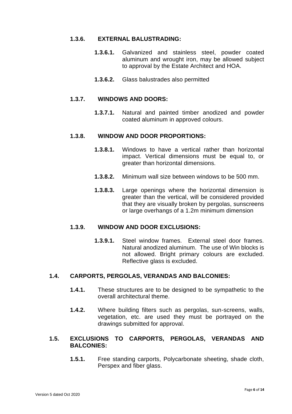# **1.3.6. EXTERNAL BALUSTRADING:**

- **1.3.6.1.** Galvanized and stainless steel, powder coated aluminum and wrought iron, may be allowed subject to approval by the Estate Architect and HOA.
- **1.3.6.2.** Glass balustrades also permitted

#### **1.3.7. WINDOWS AND DOORS:**

**1.3.7.1.** Natural and painted timber anodized and powder coated aluminum in approved colours.

# **1.3.8. WINDOW AND DOOR PROPORTIONS:**

- **1.3.8.1.** Windows to have a vertical rather than horizontal impact. Vertical dimensions must be equal to, or greater than horizontal dimensions.
- **1.3.8.2.** Minimum wall size between windows to be 500 mm.
- **1.3.8.3.** Large openings where the horizontal dimension is greater than the vertical, will be considered provided that they are visually broken by pergolas, sunscreens or large overhangs of a 1.2m minimum dimension

# **1.3.9. WINDOW AND DOOR EXCLUSIONS:**

**1.3.9.1.** Steel window frames. External steel door frames. Natural anodized aluminum. The use of Win blocks is not allowed. Bright primary colours are excluded. Reflective glass is excluded.

# **1.4. CARPORTS, PERGOLAS, VERANDAS AND BALCONIES:**

- **1.4.1.** These structures are to be designed to be sympathetic to the overall architectural theme.
- **1.4.2.** Where building filters such as pergolas, sun-screens, walls, vegetation, etc. are used they must be portrayed on the drawings submitted for approval.

# **1.5. EXCLUSIONS TO CARPORTS, PERGOLAS, VERANDAS AND BALCONIES:**

**1.5.1.** Free standing carports, Polycarbonate sheeting, shade cloth, Perspex and fiber glass.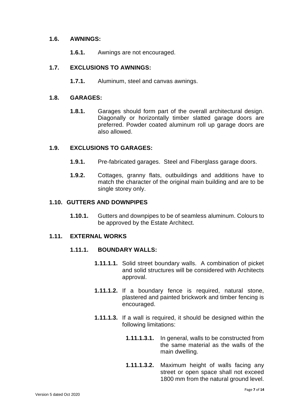# **1.6. AWNINGS:**

**1.6.1.** Awnings are not encouraged.

# **1.7. EXCLUSIONS TO AWNINGS:**

**1.7.1.** Aluminum, steel and canvas awnings.

# **1.8. GARAGES:**

**1.8.1.** Garages should form part of the overall architectural design. Diagonally or horizontally timber slatted garage doors are preferred. Powder coated aluminum roll up garage doors are also allowed.

# **1.9. EXCLUSIONS TO GARAGES:**

- **1.9.1.** Pre-fabricated garages. Steel and Fiberglass garage doors.
- **1.9.2.** Cottages, granny flats, outbuildings and additions have to match the character of the original main building and are to be single storey only.

#### **1.10. GUTTERS AND DOWNPIPES**

**1.10.1.** Gutters and downpipes to be of seamless aluminum. Colours to be approved by the Estate Architect.

# **1.11. EXTERNAL WORKS**

#### **1.11.1. BOUNDARY WALLS:**

- **1.11.1.1.** Solid street boundary walls. A combination of picket and solid structures will be considered with Architects approval.
- **1.11.1.2.** If a boundary fence is required, natural stone, plastered and painted brickwork and timber fencing is encouraged.
- **1.11.1.3.** If a wall is required, it should be designed within the following limitations:
	- **1.11.1.3.1.** In general, walls to be constructed from the same material as the walls of the main dwelling.
	- **1.11.1.3.2.** Maximum height of walls facing any street or open space shall not exceed 1800 mm from the natural ground level.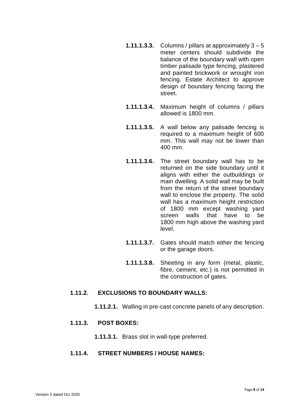- **1.11.1.3.3.** Columns / pillars at approximately  $3 5$ meter centers should subdivide the balance of the boundary wall with open timber palisade type fencing, plastered and painted brickwork or wrought iron fencing. Estate Architect to approve design of boundary fencing facing the street.
- **1.11.1.3.4.** Maximum height of columns / pillars allowed is 1800 mm.
- **1.11.1.3.5.** A wall below any palisade fencing is required to a maximum height of 600 mm. This wall may not be lower than 400 mm.
- **1.11.1.3.6.** The street boundary wall has to be returned on the side boundary until it aligns with either the outbuildings or main dwelling. A solid wall may be built from the return of the street boundary wall to enclose the property. The solid wall has a maximum height restriction of 1800 mm except washing yard screen walls that have to be 1800 mm high above the washing yard level.
- **1.11.1.3.7.** Gates should match either the fencing or the garage doors.
- **1.11.1.3.8.** Sheeting in any form (metal, plastic, fibre, cement, etc.) is not permitted in the construction of gates.

#### **1.11.2. EXCLUSIONS TO BOUNDARY WALLS:**

**1.11.2.1.** Walling in pre-cast concrete panels of any description.

# **1.11.3. POST BOXES:**

**1.11.3.1.** Brass slot in wall-type preferred.

### **1.11.4. STREET NUMBERS / HOUSE NAMES:**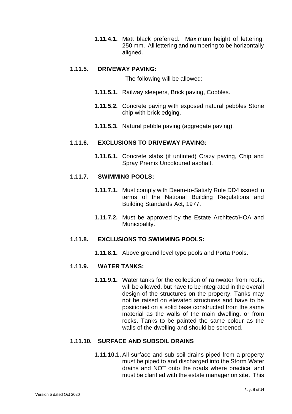**1.11.4.1.** Matt black preferred. Maximum height of lettering: 250 mm. All lettering and numbering to be horizontally aligned.

## **1.11.5. DRIVEWAY PAVING:**

The following will be allowed:

- **1.11.5.1.** Railway sleepers, Brick paving, Cobbles.
- **1.11.5.2.** Concrete paving with exposed natural pebbles Stone chip with brick edging.
- **1.11.5.3.** Natural pebble paving (aggregate paving).

# **1.11.6. EXCLUSIONS TO DRIVEWAY PAVING:**

**1.11.6.1.** Concrete slabs (if untinted) Crazy paving, Chip and Spray Premix Uncoloured asphalt.

### **1.11.7. SWIMMING POOLS:**

- **1.11.7.1.** Must comply with Deem-to-Satisfy Rule DD4 issued in terms of the National Building Regulations and Building Standards Act, 1977.
- **1.11.7.2.** Must be approved by the Estate Architect/HOA and Municipality.

#### **1.11.8. EXCLUSIONS TO SWIMMING POOLS:**

**1.11.8.1.** Above ground level type pools and Porta Pools.

# **1.11.9. WATER TANKS:**

**1.11.9.1.** Water tanks for the collection of rainwater from roofs, will be allowed, but have to be integrated in the overall design of the structures on the property. Tanks may not be raised on elevated structures and have to be positioned on a solid base constructed from the same material as the walls of the main dwelling, or from rocks. Tanks to be painted the same colour as the walls of the dwelling and should be screened.

# **1.11.10. SURFACE AND SUBSOIL DRAINS**

**1.11.10.1.** All surface and sub soil drains piped from a property must be piped to and discharged into the Storm Water drains and NOT onto the roads where practical and must be clarified with the estate manager on site. This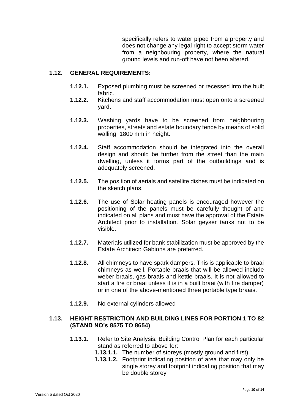specifically refers to water piped from a property and does not change any legal right to accept storm water from a neighbouring property, where the natural ground levels and run-off have not been altered.

#### **1.12. GENERAL REQUIREMENTS:**

- **1.12.1.** Exposed plumbing must be screened or recessed into the built fabric.
- **1.12.2.** Kitchens and staff accommodation must open onto a screened yard.
- **1.12.3.** Washing yards have to be screened from neighbouring properties, streets and estate boundary fence by means of solid walling, 1800 mm in height.
- **1.12.4.** Staff accommodation should be integrated into the overall design and should be further from the street than the main dwelling, unless it forms part of the outbuildings and is adequately screened.
- **1.12.5.** The position of aerials and satellite dishes must be indicated on the sketch plans.
- **1.12.6.** The use of Solar heating panels is encouraged however the positioning of the panels must be carefully thought of and indicated on all plans and must have the approval of the Estate Architect prior to installation. Solar geyser tanks not to be visible.
- **1.12.7.** Materials utilized for bank stabilization must be approved by the Estate Architect: Gabions are preferred.
- **1.12.8.** All chimneys to have spark dampers. This is applicable to braai chimneys as well. Portable braais that will be allowed include weber braais, gas braais and kettle braais. It is not allowed to start a fire or braai unless it is in a built braai (with fire damper) or in one of the above-mentioned three portable type braais.
- **1.12.9.** No external cylinders allowed

# **1.13. HEIGHT RESTRICTION AND BUILDING LINES FOR PORTION 1 TO 82 (STAND NO's 8575 TO 8654)**

- **1.13.1.** Refer to Site Analysis: Building Control Plan for each particular stand as referred to above for:
	- **1.13.1.1.** The number of storeys (mostly ground and first)
	- **1.13.1.2.** Footprint indicating position of area that may only be single storey and footprint indicating position that may be double storey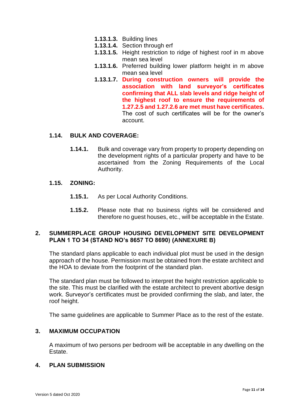- **1.13.1.3.** Building lines
- **1.13.1.4.** Section through erf
- **1.13.1.5.** Height restriction to ridge of highest roof in m above mean sea level
- **1.13.1.6.** Preferred building lower platform height in m above mean sea level
- **1.13.1.7. During construction owners will provide the association with land surveyor's certificates confirming that ALL slab levels and ridge height of the highest roof to ensure the requirements of 1.27.2.5 and 1.27.2.6 are met must have certificates.** The cost of such certificates will be for the owner's account.

# **1.14. BULK AND COVERAGE:**

**1.14.1.** Bulk and coverage vary from property to property depending on the development rights of a particular property and have to be ascertained from the Zoning Requirements of the Local Authority.

#### **1.15. ZONING:**

- **1.15.1.** As per Local Authority Conditions.
- **1.15.2.** Please note that no business rights will be considered and therefore no guest houses, etc., will be acceptable in the Estate.

#### **2. SUMMERPLACE GROUP HOUSING DEVELOPMENT SITE DEVELOPMENT PLAN 1 TO 34 (STAND NO's 8657 TO 8690) (ANNEXURE B)**

The standard plans applicable to each individual plot must be used in the design approach of the house. Permission must be obtained from the estate architect and the HOA to deviate from the footprint of the standard plan.

The standard plan must be followed to interpret the height restriction applicable to the site. This must be clarified with the estate architect to prevent abortive design work. Surveyor's certificates must be provided confirming the slab, and later, the roof height.

The same guidelines are applicable to Summer Place as to the rest of the estate.

# **3. MAXIMUM OCCUPATION**

A maximum of two persons per bedroom will be acceptable in any dwelling on the Estate.

#### **4. PLAN SUBMISSION**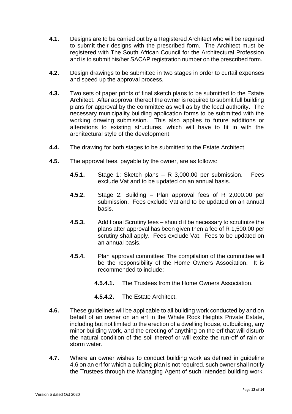- **4.1.** Designs are to be carried out by a Registered Architect who will be required to submit their designs with the prescribed form. The Architect must be registered with The South African Council for the Architectural Profession and is to submit his/her SACAP registration number on the prescribed form.
- **4.2.** Design drawings to be submitted in two stages in order to curtail expenses and speed up the approval process.
- **4.3.** Two sets of paper prints of final sketch plans to be submitted to the Estate Architect. After approval thereof the owner is required to submit full building plans for approval by the committee as well as by the local authority. The necessary municipality building application forms to be submitted with the working drawing submission. This also applies to future additions or alterations to existing structures, which will have to fit in with the architectural style of the development.
- **4.4.** The drawing for both stages to be submitted to the Estate Architect
- **4.5.** The approval fees, payable by the owner, are as follows:
	- **4.5.1.** Stage 1: Sketch plans R 3,000.00 per submission. Fees exclude Vat and to be updated on an annual basis.
	- **4.5.2.** Stage 2: Building Plan approval fees of R 2,000.00 per submission. Fees exclude Vat and to be updated on an annual basis.
	- **4.5.3.** Additional Scrutiny fees should it be necessary to scrutinize the plans after approval has been given then a fee of R 1,500.00 per scrutiny shall apply. Fees exclude Vat. Fees to be updated on an annual basis.
	- **4.5.4.** Plan approval committee: The compilation of the committee will be the responsibility of the Home Owners Association. It is recommended to include:
		- **4.5.4.1.** The Trustees from the Home Owners Association.
		- **4.5.4.2.** The Estate Architect.
- <span id="page-11-0"></span>**4.6.** These guidelines will be applicable to all building work conducted by and on behalf of an owner on an erf in the Whale Rock Heights Private Estate, including but not limited to the erection of a dwelling house, outbuilding, any minor building work, and the erecting of anything on the erf that will disturb the natural condition of the soil thereof or will excite the run-off of rain or storm water.
- <span id="page-11-1"></span>**4.7.** Where an owner wishes to conduct building work as defined in guideline [4.6](#page-11-0) on an erf for which a building plan is not required, such owner shall notify the Trustees through the Managing Agent of such intended building work.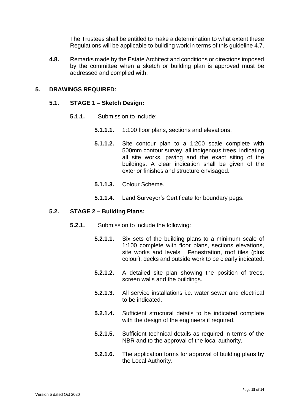The Trustees shall be entitled to make a determination to what extent these Regulations will be applicable to building work in terms of this guideline [4.7.](#page-11-1)

. **4.8.** Remarks made by the Estate Architect and conditions or directions imposed by the committee when a sketch or building plan is approved must be addressed and complied with.

# **5. DRAWINGS REQUIRED:**

#### **5.1. STAGE 1 – Sketch Design:**

- **5.1.1.** Submission to include:
	- **5.1.1.1.** 1:100 floor plans, sections and elevations.
	- **5.1.1.2.** Site contour plan to a 1:200 scale complete with 500mm contour survey, all indigenous trees, indicating all site works, paving and the exact siting of the buildings. A clear indication shall be given of the exterior finishes and structure envisaged.
	- **5.1.1.3.** Colour Scheme.
	- **5.1.1.4.** Land Surveyor's Certificate for boundary pegs.

#### **5.2. STAGE 2 – Building Plans:**

- **5.2.1.** Submission to include the following:
	- **5.2.1.1.** Six sets of the building plans to a minimum scale of 1:100 complete with floor plans, sections elevations, site works and levels. Fenestration, roof tiles (plus colour), decks and outside work to be clearly indicated.
	- **5.2.1.2.** A detailed site plan showing the position of trees, screen walls and the buildings.
	- **5.2.1.3.** All service installations i.e. water sewer and electrical to be indicated.
	- **5.2.1.4.** Sufficient structural details to be indicated complete with the design of the engineers if required.
	- **5.2.1.5.** Sufficient technical details as required in terms of the NBR and to the approval of the local authority.
	- **5.2.1.6.** The application forms for approval of building plans by the Local Authority.